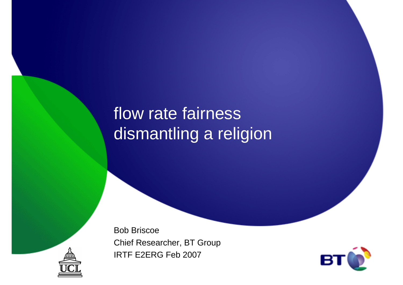## flow rate fairnessdismantling a religion

Bob Briscoe Chief Researcher, BT GroupIRTF E2ERG Feb 2007



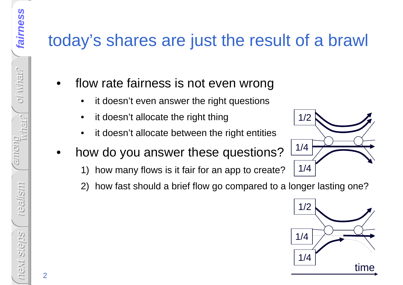### today's shares are just the result of a brawl

- • flow rate fairness is not even wrong
	- •it doesn't even answer the right questions
	- $\bullet$ it doesn't allocate the right thing
	- •it doesn't allocate between the right entities
- • how do you answer these questions?
	- 1) how many flows is it fair for an app to create?
	- 2) how fast should a brief flow go compared to a longer lasting one?



1/2

1/4

1/4



2

JENI

fairness

**fairness**

oi what?

oi what?

what?

among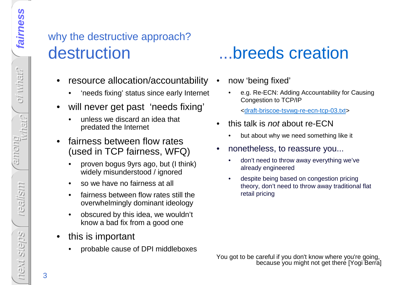### why the destructive approach? destruction ...breeds creation

- • resource allocation/accountability
	- •'needs fixing' status since early Internet
- • will never get past 'needs fixing'
	- • unless we discard an idea that predated the Internet
- • fairness between flow rates (used in TCP fairness, WFQ)
	- • proven bogus 9yrs ago, but (I think) widely misunderstood / ignored
	- •so we have no fairness at all
	- • fairness between flow rates still the overwhelmingly dominant ideology
	- • obscured by this idea, we wouldn't know a bad fix from a good one
- • this is important
	- •probable cause of DPI middleboxes

- • now 'being fixed'
	- • e.g. Re-ECN: Adding Accountability for Causing Congestion to TCP/IP

<draft-briscoe-tsvwg-re-ecn-tcp-03.txt>

- • this talk is not about re-ECN
	- but about why we need something like it •
- • nonetheless, to reassure you...
	- • don't need to throw away everything we've already engineered
	- • despite being based on congestion pricing theory, don't need to throw away traditional flat retail pricing

fairness

**fairness**

oi what?

oi what?

 $|\zeta, \eta \in U_{\mathcal{M}}|$ 

among

realism

next steps

NENI

Stiejds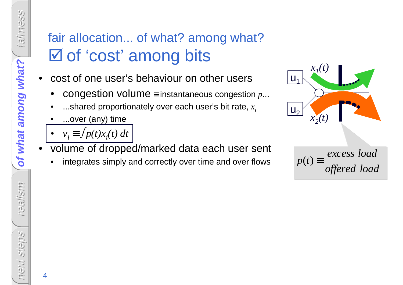# fair allocation... of what? among what?**Ø of 'cost' among bits**

- • cost of one user's behaviour on other users
	- •congestion volume≡ instantaneous congestion *p*...
	- ...shared proportionately over each user's bit rate, *xi*•
	- •...over (any) time
	- • $v_i \equiv \int p(t)x_i(t) dt$
- volume of dropped/marked data each user sent •
	- •integrates simply and correctly over time and over flows



next steps

MEXT

stieps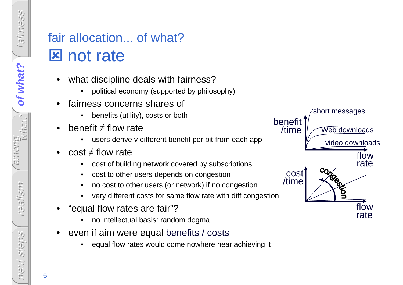of what?

of what? **of what?**

what?

among

realism

next steps

NEXT

stieps

# fair allocation... of what?**Ex** not rate

- • what discipline deals with fairness?
	- political economy (supported by philosophy)•
- • fairness concerns shares of
	- •benefits (utility), costs or both
- • benefit ≠ flow rate
	- users derive v different benefit per bit from each app•
- • $cost \neq flow$  rate
	- cost of building network covered by subscriptions•
	- •cost to other users depends on congestion
	- no cost to other users (or network) if no congestion•
	- very different costs for same flow rate with diff congestion•
- • "equal flow rates are fair"?
	- no intellectual basis: random dogma•
- $\bullet$  even if aim were equal benefits / costs
	- equal flow rates would come nowhere near achieving it •

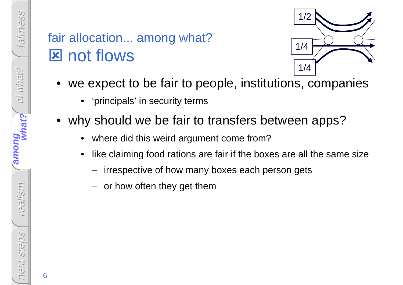# fair allocation... among what? **EX not flows**



- • we expect to be fair to people, institutions, companies
	- •'principals' in security terms
- • why should we be fair to transfers between apps?
	- •where did this weird argument come from?
	- • like claiming food rations are fair if the boxes are all the same size
		- irrespective of how many boxes each person gets
		- or how often they get them

6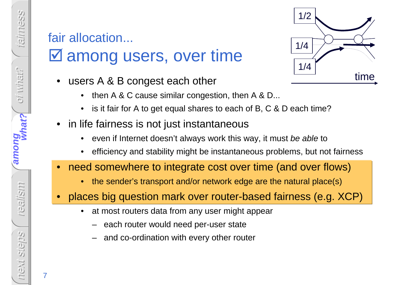# fair allocation... among users, over time

- • users A & B congest each other
	- •then A & C cause similar congestion, then A & D...
	- •is it fair for A to get equal shares to each of B, C & D each time?
- $\bullet$  in life fairness is not just instantaneous
	- •even if Internet doesn't always work this way, it must be able to
	- •efficiency and stability might be instantaneous problems, but not fairness
- • need somewhere to integrate cost over time (and over flows)
	- •the sender's transport and/or network edge are the natural place(s)
- • places big question mark over router-based fairness (e.g. XCP)
	- • at most routers data from any user might appear
		- –each router would need per-user state
		- –and co-ordination with every other router



fairness

oi what?

OI W/nat?

among

**among**

realism

next steps

NEXT

**Stiejds** 

what?

**what?**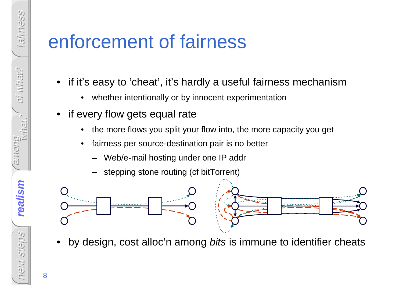next steps

MEXT

Stiejse

## enforcement of fairness

- • if it's easy to 'cheat', it's hardly a useful fairness mechanism
	- •whether intentionally or by innocent experimentation
- • if every flow gets equal rate
	- •the more flows you split your flow into, the more capacity you get
	- $\bullet$  fairness per source-destination pair is no better
		- –Web/e-mail hosting under one IP addr
		- –stepping stone routing (cf bitTorrent)



•by design, cost alloc'n among bits is immune to identifier cheats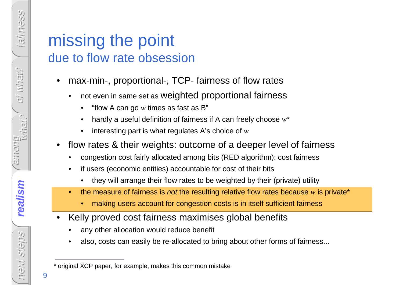### missing the pointdue to flow rate obsession

- $\bullet$  max-min-, proportional-, TCP- fairness of flow rates
	- • not even in same set as weighted proportional fairness
		- •"flow A can go  $w$  times as fast as B"
		- •hardly a useful definition of fairness if A can freely choose *w*\*
		- •interesting part is what regulates A's choice of *w*
- $\bullet$  flow rates & their weights: outcome of a deeper level of fairness
	- •congestion cost fairly allocated among bits (RED algorithm): cost fairness
	- • if users (economic entities) accountable for cost of their bits
		- •they will arrange their flow rates to be weighted by their (private) utility
	- •the measure of fairness is *not* the resulting relative flow rates because  $w$  is private\*
		- •making users account for congestion costs is in itself sufficient fairness
- • Kelly proved cost fairness maximises global benefits
	- •any other allocation would reduce benefit
	- •also, costs can easily be re-allocated to bring about other forms of fairness...

fairness

next steps

NEXT

stiejds

9

<sup>\*</sup> original XCP paper, for example, makes this common mistake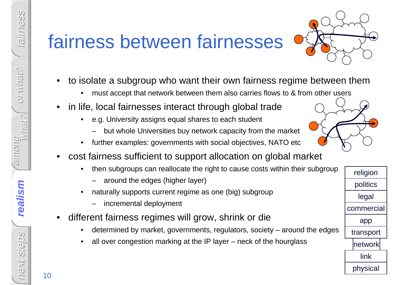among

realism **realism**

•

# fairness between fairnesses



- $\bullet$  to isolate a subgroup who want their own fairness regime between them
	- •must accept that network between them also carries flows to & from other users
- • in life, local fairnesses interact through global trade
	- e.g. University assigns equal shares to each student
		- but whole Universities buy network capacity from the market
	- •further examples: governments with social objectives, NATO etc
- • cost fairness sufficient to support allocation on global market
	- • then subgroups can reallocate the right to cause costs within their subgroup
		- around the edges (higher layer)
	- • naturally supports current regime as one (big) subgroup
		- incremental deployment
- • different fairness regimes will grow, shrink or di e
	- determined by market, governments, regulators, society around the edges•
	- •all over congestion marking at the IP layer – neck of the hourglass

religionpoliticslegalcommercialapptransportnetworklink

physical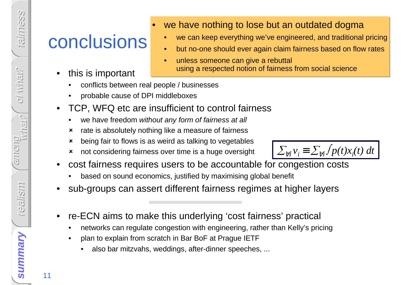### conclusions

- we have nothing to lose but an outdated dogma
	- we can keep everything we've engineered, and traditional pricing•
	- •but no-one should ever again claim fairness based on flow rates
	- • unless someone can give a rebuttal using a respected notion of fairness from social science
- • this is important
	- •conflicts between real people / businesses

•

- •probable cause of DPI middleboxes
- • TCP, WFQ etc are insufficient to control fairness
	- •we have freedom without any form of fairness at all
	- $\boldsymbol{\mathsf{x}}$ rate is absolutely nothing like a measure of fairness
	- $\boldsymbol{\mathsf{x}}$ being fair to flows is as weird as talking to vegetables
	- $\boldsymbol{\mathsf{x}}$ not considering fairness over time is a huge oversight

 $\sum_{\forall i} v_i \equiv \sum_{\forall i} f_p(t) x_i(t) dt$ 

- $\bullet$  cost fairness requires users to be accountable for congestion costs
	- •based on sound economics, justified by maximising global benefit
- $\bullet$ sub-groups can assert different fairness regimes at higher layers
- $\bullet$  re-ECN aims to make this underlying 'cost fairness' practical
	- •networks can regulate congestion with engineering, rather than Kelly's pricing
	- • plan to explain from scratch in Bar BoF at Prague IETF
		- also bar mitzvahs, weddings, after-dinner speeches, ... •

fairness oi what? oi what?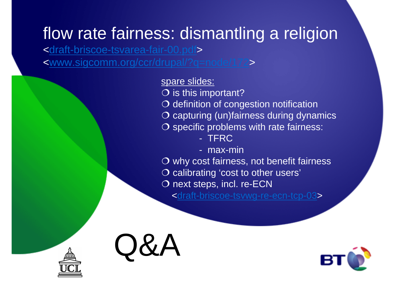### flow rate fairness: dismantling a religion

<draft-briscoe-tsvarea-fair-00.pdf>

<www.sigcomm.org/ccr/drupal/?q=node/172>

spare slides:

 $\overline{O}$  is this important?<br> $\overline{O}$  definition of cong

- $\overline{O}$  definition of congestion notification<br> $\overline{O}$  capturing (un)fairness during dynan
- $\overline{O}$  capturing (un)fairness during dynamics<br> $\overline{O}$  specific problems with rate fairness:
- O specific problems with rate fairness:<br> $\overline{S}$  TERC

-**TFRC** 

- max-min

 $\overline{O}$  why cost fairness, not benefit fairness<br> $\overline{O}$  calibrating 'cost to other users'

O calibrating 'cost to other users'<br>O next stens, incl, re-ECN

O next steps, incl. re-ECN<br>Coltaft-briscoe-tswwg-re-6

<draft-briscoe-tsvwg-re-ecn-tcp-03>



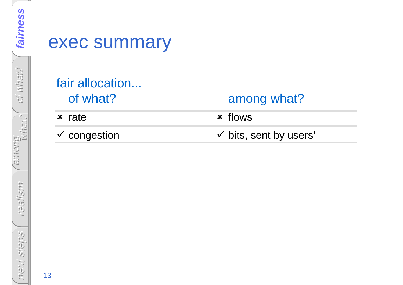### exec summary

#### fair allocation...of what?

#### among what?

**x** rate

 $\checkmark$  congestion

### flows  $\checkmark$  bits, sent by users'

 $n$ ext steps 13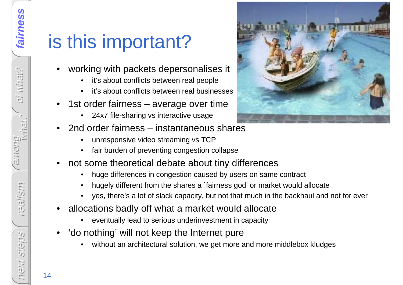oi what?

oi what?

what?

# is this important?

- • working with packets depersonalises it
	- •it's about conflicts between real people
	- it's about conflicts between real businesses•
- • 1st order fairness – average over time
	- •24x7 file-sharing vs interactive usage
- • 2nd order fairness – instantaneous shares
	- •unresponsive video streaming vs TCP
	- fair burden of preventing congestion collapse•
- • not some theoretical debate about tiny differences
	- huge differences in congestion caused by users on same contract •
	- •hugely different from the shares a `fairness god' or market would allocate
	- •yes, there's a lot of slack capacity, but not that much in the backhaul and not for ever
- • allocations badly off what a market would allocate
	- •eventually lead to serious underinvestment in capacity
- • 'do nothing' will not keep the Internet pure
	- without an architectural solution, we get more and more middlebox kludges•



next steps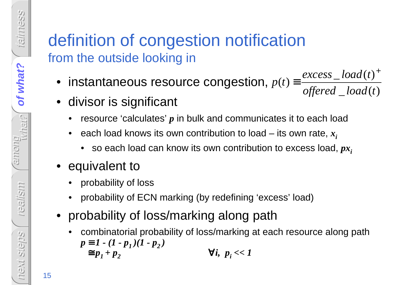### definition of congestion notificationfrom the outside looking in

- $\bullet\,$  instantaneous resource congestion,  $_1$  $\_\,load(t)$  $\mathcal{L}$  $\left( t\right)$  $(t)$  *offered load texcess load*  $p(t) \equiv \frac{excess\_load(t)}{ex}$ *t* + $\equiv \frac{\text{C}_{\text{AUCDD}} - \text{C}_{\text{AUC}}(V)}$
- divisor is significant
	- •resource 'calculates' *p* in bulk and communicates it to each load
	- • each load knows its own contribution to load – its own rate, *xi*
		- $\bullet$   $\,$  so each load can know its own contribution to excess load,  $p x_{\hat{i}}$
- equivalent to
	- •probability of loss
	- •probability of ECN marking (by redefining 'excess' load)
- • probability of loss/marking along path
	- • combinatorial probability of loss/marking at each resource along path $p \equiv 1 - (1 - p_1)(1 - p_2)$  $\equiv p_1 + p_2$  $\forall i, p_i$  < 1

fairness

of what?

of what? **of what?**

what?

among

realism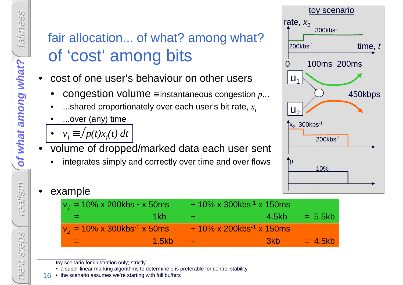### fair allocation... of what? among what?of 'cost' among bits

- • cost of one user's behaviour on other users
	- •congestion volume≡ instantaneous congestion *p*...
	- ...shared proportionately over each user's bit rate, *xi*•
	- •...over (any) time
	- • $v_i \equiv \int p(t)x_i(t) dt$
- • volume of dropped/marked data each user sent
	- •integrates simply and correctly over time and over flows



•example

| $v_1$ = 10% x 200kbs <sup>-1</sup> x 50ms        |                     | $+10\%$ x 300kbs <sup>-1</sup> x 150ms        |           |
|--------------------------------------------------|---------------------|-----------------------------------------------|-----------|
| 1kh.<br>and the set                              |                     | 4.5kb                                         | $= 5.5kb$ |
| $v_2 = 10\% \times 300$ kbs <sup>-1</sup> x 50ms |                     | $+10\% \times 200$ kbs <sup>-1</sup> x 150 ms |           |
| <b>1.5kb</b><br>= 1                              | $\blacktriangle$ +7 | .3kb                                          | $= 4.5kb$ |

toy scenario for illustration only; strictly...

• a super-linear marking algorithms to determine p is preferable for control stability

 $m$ ext steps<br>  $\frac{1}{6}$ <br>  $\frac{1}{6}$ • the scenario assumes we're starting with full buffers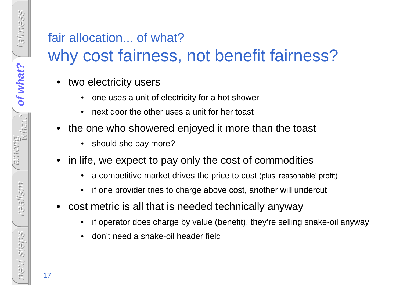### fair allocation... of what?why cost fairness, not benefit fairness?

- • two electricity users
	- •one uses a unit of electricity for a hot shower
	- •next door the other uses a unit for her toast
- $\bullet$  the one who showered enjoyed it more than the toast
	- •should she pay more?
- $\bullet$  in life, we expect to pay only the cost of commodities
	- •a competitive market drives the price to cost (plus 'reasonable' profit)
	- •if one provider tries to charge above cost, another will undercut
- $\bullet$  cost metric is all that is needed technically anyway
	- •if operator does charge by value (benefit), they're selling snake-oil anyway
	- •don't need a snake-oil header field

fairness

of what?

of what? **of what?**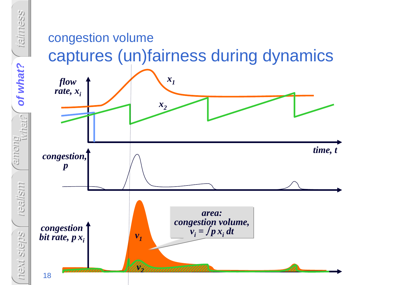### congestion volumecaptures (un)fairness during dynamics

fairness

of what?

of what? **of what?**

weit?

among

realism

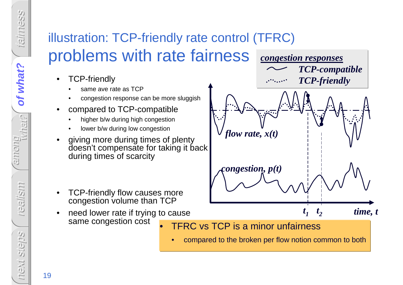#### illustration: TCP-friendly rate control (TFRC)problems with rate fairness*congestion responses*

- • TCP-friendly
	- same ave rate as TCP•
	- congestion response can be more sluggish•
- • compared to TCP-compatible
	- higher b/w during high congestion•
	- •lower b/w during low congestion
- • giving more during times of plenty doesn't compensate for taking it back during times of scarcity
- • TCP-friendly flow causes more congestion volume than TCP
- need lower rate if trying to cause •same congestion cost •



- TFRC vs TCP is a minor unfairness
	- •compared to the broken per flow notion common to both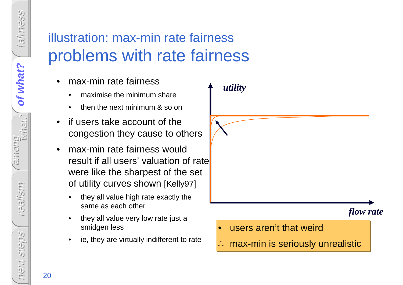### illustration: max-min rate fairnessproblems with rate fairness

- • max-min rate fairness
	- •maximise the minimum share
	- •then the next minimum & so on
- • if users take account of the congestion they cause to others
- • max-min rate fairness would result if all users' valuation of rate were like the sharpest of the set of utility curves shown [Kelly97]
	- • they all value high rate exactly the same as each other
	- • they all value very low rate just a smidgen less
	- •ie, they are virtually indifferent to rate



fairness

of what?

of what? **of what?**

neur?

among

realism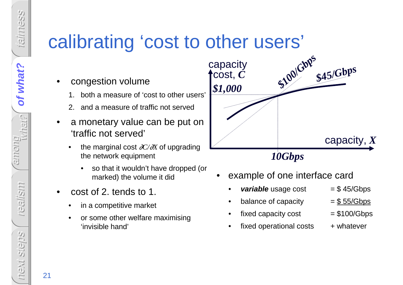# calibrating 'cost to other users'

- • congestion volume
	- both a measure of 'cost to other users'
	- 2. and a measure of traffic not served
- • a monetary value can be put on 'traffic not served'
	- • the marginal cost ∂*C/*∂*X* of upgrading the network equipment
		- • so that it wouldn't have dropped (or marked) the volume it did
- • cost of 2. tends to 1.
	- •in a competitive market
	- • or some other welfare maximising 'invisible hand'



•example of one interface card

•

- •**variable** usage cost = \$ 45/Gbps
- •balance of capacity  $= $55/Gbps$
- fixed capacity cost  $= $100/\text{Gbps}$
- •fixed operational costs  $+$  whatever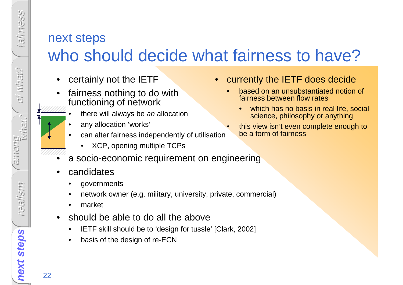#### next steps

## who should decide what fairness to have?

•

- •certainly not the IETF
- fairness nothing to do with •functioning of network
	- there will always be an allocation •
	- •any allocation 'works'
	- • can alter fairness independently of utilisation
		- •XCP, opening multiple TCPs
- • currently the IETF does decide
	- based on an unsubstantiated notion of •fairness between flow rates
		- • which has no basis in real life, social science, philosophy or anything
	- this view isn't even complete enough to be a form of fairness
- •a socio-economic requirement on engineering
- • candidates
	- •governments
	- •network owner (e.g. military, university, private, commercial)
	- •market
- $\bullet$  should be able to do all the above
	- IETF skill should be to 'design for tussle' [Clark, 2002] •
	- •basis of the design of re-ECN

**next steps**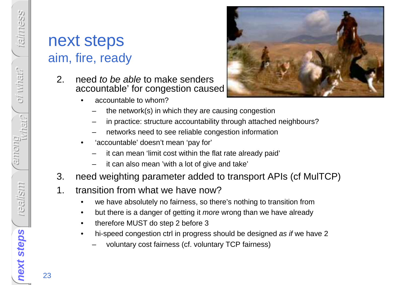### next stepsaim, fire, ready

- 2. need to be able to make senders accountable' for congestion caused
	- •accountable to whom?



- the network(s) in which they are causing congestion
- in practice: structure accountability through attached neighbours?
- networks need to see reliable congestion information
- • 'accountable' doesn't mean 'pay for'
	- it can mean 'limit cost within the flat rate already paid'
	- it can also mean 'with a lot of give and take'
- 3. need weighting parameter added to transport APIs (cf MulTCP)
- 1. transition from what we have now?
	- we have absolutely no fairness, so there's nothing to transition from•
	- but there is a danger of getting it *more* wrong than we have already •
	- •therefore MUST do step 2 before 3
	- hi-speed congestion ctrl in progress should be designed as if we have 2•
		- voluntary cost fairness (cf. voluntary TCP fairness)

oi what? oi what? what? among realism

**next steps**

fairness

next steps<br>23<br>23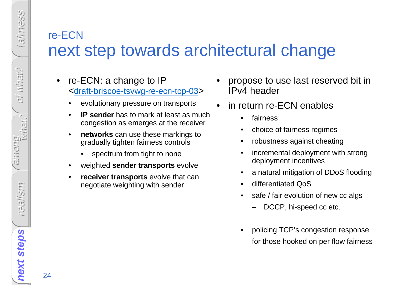#### re-ECN next step towards architectural change

- $\bullet$  re-ECN: a change to IP <draft-briscoe-tsvwg-re-ecn-tcp-03>
	- •evolutionary pressure on transports
	- • **IP sender** has to mark at least as much congestion as emerges at the receiver
	- • **networks** can use these markings to gradually tighten fairness controls
		- •spectrum from tight to none
	- •weighted **sender transports** evolve
	- • **receiver transports** evolve that can negotiate weighting with sender
- • propose to use last reserved bit in IPv4 header
- • in return re-ECN enables
	- $\bullet$ fairness
	- •choice of fairness regimes
	- •robustness against cheating
	- • incremental deployment with strong deployment incentives
	- $\bullet$ a natural mitigation of DDoS flooding
	- •differentiated QoS
	- safe / fair evolution of new cc algs•
		- –DCCP, hi-speed cc etc.
	- • policing TCP's congestion responsefor those hooked on per flow fairness

fairness

oi what?

oi what?

what?

among

realism

**next steps**